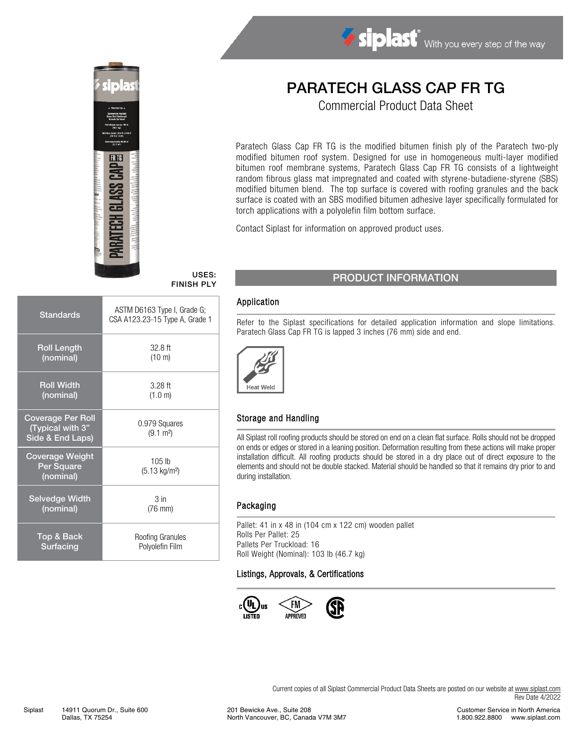

# FINISH PLY

| <b>Standards</b>                                                 | ASTM D6163 Type I, Grade G;<br>CSA A123.23-15 Type A, Grade 1 |
|------------------------------------------------------------------|---------------------------------------------------------------|
| <b>Roll Length</b>                                               | $32.8$ ft                                                     |
| (nominal)                                                        | $(10 \text{ m})$                                              |
| <b>Roll Width</b>                                                | $3.28$ ft                                                     |
| (nominal)                                                        | (1.0 m)                                                       |
| <b>Coverage Per Roll</b><br>(Typical with 3"<br>Side & End Laps) | 0.979 Squares<br>$(9.1 \text{ m}^2)$                          |
| <b>Coverage Weight</b><br>Per Square<br>(nominal)                | $105$ lb<br>$(5.13 \text{ kg/m}^2)$                           |
| <b>Selvedge Width</b>                                            | 3 in                                                          |
| (nominal)                                                        | $(76 \text{ mm})$                                             |
| Top & Back                                                       | Roofing Granules                                              |
| Surfacing                                                        | Polyolefin Film                                               |

## PARATECH GLASS CAP FR TG

Siplast With you every step of the way

Commercial Product Data Sheet

Paratech Glass Cap FR TG is the modified bitumen finish ply of the Paratech two-ply modified bitumen roof system. Designed for use in homogeneous multi-layer modified bitumen roof membrane systems, Paratech Glass Cap FR TG consists of a lightweight random fibrous glass mat impregnated and coated with styrene-butadiene-styrene (SBS) modified bitumen blend. The top surface is covered with roofing granules and the back surface is coated with an SBS modified bitumen adhesive layer specifically formulated for torch applications with a polyolefin film bottom surface.

Contact Siplast for information on approved product uses.

#### USES: PRODUCT INFORMATION

#### Application

Refer to the Siplast specifications for detailed application information and slope limitations. Paratech Glass Cap FR TG is lapped 3 inches (76 mm) side and end.



#### Storage and Handling

All Siplast roll roofing products should be stored on end on a clean flat surface. Rolls should not be dropped on ends or edges or stored in a leaning position. Deformation resulting from these actions will make proper installation difficult. All roofing products should be stored in a dry place out of direct exposure to the elements and should not be double stacked. Material should be handled so that it remains dry prior to and during installation.

#### Packaging

Pallet: 41 in x 48 in (104 cm x 122 cm) wooden pallet Rolls Per Pallet: 25 Pallets Per Truckload: 16 Roll Weight (Nominal): 103 lb (46.7 kg)

#### Listings, Approvals, & Certifications



Current copies of all Siplast Commercial Product Data Sheets are posted on our website at [www.siplast.com](http://www.siplast.com/) Rev Date 4/2022